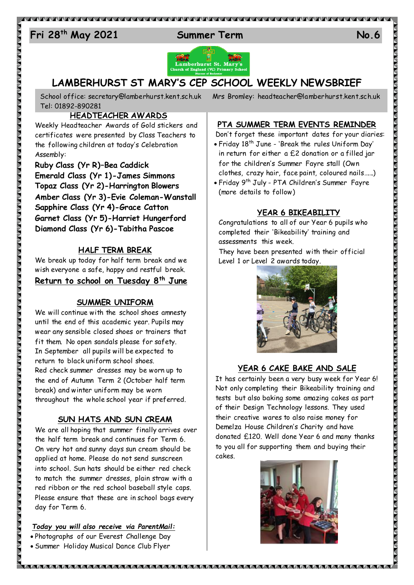# 24 **Fri 28 th May 2021 Summer Term No.6**



## **LAMBERHURST ST MARY'S CEP SCHOOL WEEKLY NEWSBRIEF**

Tel: 01892-890281

#### **HEADTEACHER AWARDS**

Weekly Headteacher Awards of Gold stickers and certificates were presented by Class Teachers to the following children at today's Celebration Assembly:

**Ruby Class (Yr R)–Bea Caddick Emerald Class (Yr 1)-James Simmons Topaz Class (Yr 2)-Harrington Blowers Amber Class (Yr 3)-Evie Coleman-Wanstall Sapphire Class (Yr 4)-Grace Catton Garnet Class (Yr 5)-Harriet Hungerford Diamond Class (Yr 6)-Tabitha Pascoe**

#### **HALF TERM BREAK**

We break up today for half term break and we wish everyone a safe, happy and restful break. **Return to school on Tuesday 8th June**

#### **SUMMER UNIFORM**

We will continue with the school shoes amnesty until the end of this academic year. Pupils may wear any sensible closed shoes or trainers that fit them. No open sandals please for safety. In September all pupils will be expected to return to black uniform school shoes. Red check summer dresses may be worn up to the end of Autumn Term 2 (October half term break) and winter uniform may be worn throughout the whole school year if preferred.

#### **SUN HATS AND SUN CREAM**

We are all hoping that summer finally arrives over the half term break and continues for Term 6. On very hot and sunny days sun cream should be applied at home. Please do not send sunscreen into school. Sun hats should be either red check to match the summer dresses, plain straw with a red ribbon or the red school baseball style caps. Please ensure that these are in school bags every day for Term 6.

#### *Today you will also receive via ParentMail:*

 Photographs of our Everest Challenge Day Summer Holiday Musical Dance Club Flyer

School office: [secretary@lamberhurst.kent.sch.uk](mailto:secretary@lamberhurst.kent.sch.uk) Mrs Bromley: headteacher@lamberhurst.kent.sch.uk

## **PTA SUMMER TERM EVENTS REMINDER**

Don't forget these important dates for your diaries: Friday 18th June - 'Break the rules Uniform Day' in return for either a £2 donation or a filled jar for the children's Summer Fayre stall (Own clothes, crazy hair, face paint, coloured nails…….)

 Friday 9th July - PTA Children's Summer Fayre (more details to follow)

#### **YEAR 6 BIKEABILITY**

Congratulations to all of our Year 6 pupils who completed their 'Bikeability' training and assessments this week.

They have been presented with their official Level 1 or Level 2 awards today.



### **YEAR 6 CAKE BAKE AND SALE**

It has certainly been a very busy week for Year 6! Not only completing their Bikeability training and tests but also baking some amazing cakes as part of their Design Technology lessons. They used their creative wares to also raise money for Demelza House Children's Charity and have donated £120. Well done Year 6 and many thanks to you all for supporting them and buying their cakes.